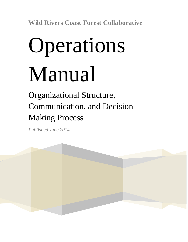**Wild Rivers Coast Forest Collaborative**

# Operations Manual

Organizational Structure, Communication, and Decision Making Process

*Published June 2014*

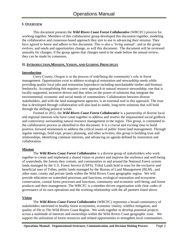## **I. OVERVIEW**

This document presents the *Wild Rivers Coast Forest Collaborative* (WRCFC) process for working together. Members of this collaborative group developed this document together, modeling the collaborative and consensus-based approach they aim to use in advancing their mission. They have agreed to honor and adhere to this document. This is also a 'living manual', and as the group evolves, and needs and opportunities change, so will this document. The document will be reviewed annually for changes; if the group agrees that changes need to be made before the annual review, they can be made by consensus.

### **II. INTRODUCTION,MISSION, VISION, AND GUIDING PRINCIPLES**

#### **Introduction**

Curry County, Oregon is in the process of redefining the community's role in forest management. Opportunities exist to address ecological restoration and stewardship needs while providing quality local jobs and restoration byproducts including merchantable timber and biomass feedstocks. Accomplishing this requires a new approach to natural resource stewardship: one that is locally-supported, incentive-driven and that relies on the power of solutions that integrate the environmental, economic and social needs of communities. Collaboration between diverse stakeholders, and with the land management agencies, is an essential tool in this approach. The trust that is developed through collaboration will also lead to stable, long-term solutions that will hold through the shifting political winds.

Formed in 2012, the *Wild Rivers Coast Forest Collaborative* is a partnership of diverse local and regional interests who have come together to address and resolve the impassioned social gridlock and controversy surrounding natural resource management in the region. This group, is committed to the collaborative process as identified in this document. It is a crucial and exciting time to build positive, forward momentum to address the critical issues of public forest land management. Through regular meetings, field trips, project planning, and other activities, this group is building trust and relationships, identifying common interests, and advancing an agenda defined by restoration and collaboration.

## **Mission**

The *Wild Rivers Coast Forest Collaborative* is a diverse group of stakeholders who work together to create and implement a shared vision to protect and improve the resilience and well-being of watersheds, the forests they contain, and communities in and around the National Forest system lands managed by the U.S. Forest Service (USFS), Tribal Lands held in trust for the exclusive and beneficial uses of Tribes, public lands managed by the Bureau of Land Management (BLM) , and other state, county and private lands within the Wild Rivers Coast geographic region. We will provide education on watershed processes and functions, ecological restoration and ecosystem conservation, coastal forest processes and functions, community and economic well-being, and forest products and their management. The WRCFC is a member-driven organization with clear codes of governance of its own operations and the working relationship with the all partners listed above.

## **Vision**

The *Wild Rivers Coast Forest Collaborative* (WRCFC) represents a broad constituency of stakeholders interested in healthy forest ecosystems, economic vitality, wildfire mitigation, and quality of life in The Wild Rivers Coast Region. We work together to develop potential projects across a multitude of interests and ownerships within the Wild Rivers Coast geographic zone. We support the utilization of forest resources and related opportunities to strengthen local communities.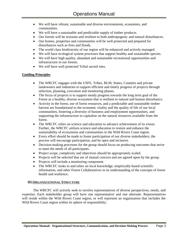- We will have vibrant, sustainable and diverse environments, economies, and communities.
- We will have a sustainable and predictable supply of timber products.
- Our forests will be resistant and resilient to both anthropogenic and natural disturbances.
- Our homes, properties and communities will be well protected and prepared for disturbances such as fires and floods.
- The world class biodiversity of our region will be enhanced and actively managed.
- We will have ecological system processes that support healthy and sustainable species.
- We will have high quality, abundant and sustainable recreational opportunities and infrastructure in our forests.
- We will have well protected Tribal sacred sites.

## **Guiding Principles**

- The WRCFC engages with the USFS, Tribes, BLM, States, Counties and private landowners and industries to support efficient and timely progress of projects through selection, planning, execution and monitoring phases.
- The focus of projects is to support steady progress towards the long term goal of the Forest as a healthy, diverse ecosystem that is resilient to natural and human disturbance.
- Activity in the forest, use of forest resources, and a predictable and sustainable timber harvest are foundational to the economic vitality and the quality of life of our local communities, fostering a diversity of business and employment opportunities, and supporting the infrastructure to capitalize on the natural resources available from the forest.
- The WRCFC relies on science and education to advance achievement of its vision. Further, the WRCFC utilizes science and education to restore and enhance the sustainability of ecosystems and communities in the Wild Rivers Coast region.
- Every effort should be made to foster participation of our diverse stakeholders; the process will encourage participation, and be open and inclusive.
- Decision-making processes for the group should focus on producing outcomes that strive to meet the needs of all participants.
- Project scope, complexity and objectives should be appropriately scaled.
- Projects will be selected that are of mutual concern and are agreed upon by the group.
- Projects will include a monitoring component.
- The WRCFC looks to and relies on local knowledge, empirically-based scientific information, and other Forest Collaboratives in its understanding of the concepts of forest health and resilience.

## **III.ORGANIZATIONAL STRUCTURE**

The WRCFC will actively seek to involve representatives of diverse perspectives, needs, and expertise. Each stakeholder group will have one representative and one alternate. Representatives will reside within the Wild Rivers Coast region, or will represent an organization that includes the Wild Rivers Coast region within its sphere of responsibility.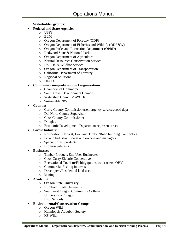# **Stakeholder groups:**

- **Federal and State Agencies**
	- o USFS
	- o BLM
	- o Oregon Department of Forestry (ODF)
	- o Oregon Department of Fisheries and Wildlife (ODF&W)
	- o Oregon Parks and Recreation Department (OPRD)
	- o Redwood State & National Parks
	- o Oregon Department of Agriculture
	- o Natural Resources Conservation Service
	- o US Fish & Wildlife Service
	- o Oregon Department of Transportation
	- o California Department of Forestry
	- o Regional Solutions
	- o DLCD

# **Community nonprofit support organizations**

- o Chambers of Commerce
- o South Coast Development Council
- o Watershed Councils/SWCDs
- o Sustainable NW
- **Counties**
	- o Curry County Commissioner/emergency services/road dept
	- o Del Norte County Supervisor
	- o Coos County Commissioner
	- o Douglas
	- o Economic Development Department representatives

# **Forest Industry**

- o Restoration, Harvest, Fire, and Timber/Road building Contractors
- o Private Industrial Forestland owners and managers
- o Special forest products
- o Biomass interests
- **Businesses**
	- o Timber Products End User Businesses
	- o Coos-Curry Electric Cooperative
	- o Recreational Tourism/Fishing guides/water users, OHV
	- o Commercial Fishing interests
	- o Developers/Residential land uses
	- o Mining
- **Academia**
	- o Oregon State University
	- o Humboldt State University
	- o Southwest Oregon Community College University of Oregon High Schools
- **Environmental/Conservation Groups**
	- o Oregon Wild
	- o Kalmiopsis Audubon Society
	- o KS Wild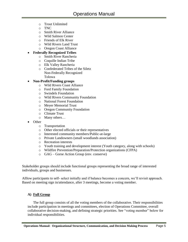- o Trout Unlimited
- o TNC
- o Smith River Alliance
- o Wild Salmon Center
- o Friends of Elk River
- o Wild Rivers Land Trust
- o Oregon Coast Alliance

# **Federally Recognized Tribes**

- o Smith River Rancheria
- o Coquille Indian Tribe
- o Elk Valley Rancheria
- o Confederated Tribes of the Siletz Non-Federally Recognized Tolowa

## **Non-Profit/Funding groups**

- o Wild Rivers Coast Alliance
- o Ford Family Foundation
- o Swindels Foundation
- o Wild Rivers Community Foundation
- o National Forest Foundation
- o Meyer Memorial Trust
- o Oregon Community Foundation
- o Climate Trust
- o Many others…
- Other
	- o Transportation
	- o Other elected officials or their representatives
	- o Interested community members/Public-at-large
	- o Private Landowners (small woodlands association)
	- o Recreation interests
	- o Youth training and development interest (Youth category, along with schools)
	- o Wildfire Prevention/Preparation/Protection organizations (CFPA)
	- o GAG Gorse Action Group (env. conserve)

Stakeholder groups should include functional groups representing the broad range of interested individuals, groups and businesses.

Alllow participants to self- select initially and if balance becomes a concern, we'll revisit approach. Based on meeting sign in/attendance, after 3 meetings, become a voting member.

# **A) Full Group**

The full group consists of all the voting members of the collaborative. Their responsibilities include participation in meetings and committees, election of Operations Committee, overall collaborative decision-making, and defining strategic priorities. See "voting member" below for individual responsibilities.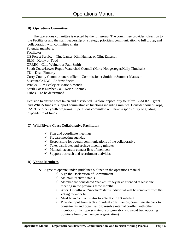# **B) Operations Committee**

The operations committee is elected by the full group. The committee provides: direction to the Facilitator and the staff, leadership on strategic priorities, communication to full group, and collaboration with committee chairs. Potential members: Facilitator US Forest Service – Tina Lanier, Kim Hunter, or Clint Emerson BLM - Kathy or Todd ORREC - Chip Weinert or Paul Smith South Coast/Lower Rogue Watershed Council (Harry Hoogesteger/Kelly Timchak) TU – Dean Finnerty Curry County Commissioners office – Commissioner Smith or Summer Matteson Sustainable NW – Andrew Speith WRCA - Jim Seeley or Marie Simonds South Coast Lumber Co. - Kevin Adamek Tribes – To be determined

Decision to ensure notes taken and distributed. Explore opportunity to utilize BLM RAC grant and WRCA funds to support administrative functions including minutes. Consider AmeriCorps, RARE or other youth programs. Operations committee will have responsibility of guiding expenditure of funds.

# **C) Wild Rivers Coast Collaborative Facilitator**

- $\checkmark$  Plan and coordinate meetings
- $\checkmark$  Prepare meeting agendas
- $\checkmark$  Responsible for overall communications of the collaborative
- $\checkmark$  Take, distribute, and archive meeting minutes
- $\checkmark$  Maintain accurate contact lists of members
- $\checkmark$  Support outreach and recruitment activities

# **D) Voting Members**

- $\triangle$  Agree to operate under guidelines outlined in the operations manual
	- $\checkmark$  Sign the Declaration of Commitment
	- $\checkmark$  Maintain "active" status
	- $\checkmark$  Member are considered "active" if they have attended at least one meeting in the previous three months
	- $\checkmark$  After 3 months on "inactive" status individual will be removed from the voting member list
	- $\checkmark$  Must be in "active" status to vote at current meeting
	- $\checkmark$  Provide input from each individual constituency; communicate back to constituents and organization; resolve internal conflict with other members of the representative's organization (to avoid two opposing opinions from one member organization)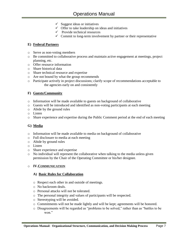- $\checkmark$  Suggest ideas or initiatives
- $\checkmark$  Offer to take leadership on ideas and initiatives
- $\checkmark$  Provide technical resources
- $\checkmark$  Commit to long-term involvement by partner or their representative

# **E) Federal Partners**

- o Serve as non-voting members
- o Be committed to collaborative process and maintain active engagement at meetings, project planning, etc.
- o Offer resource information
- o Share historical data
- o Share technical resource and expertise
- o Are not bound by what the group recommends
- o Participate actively in project discussions; clarify scope of recommendations acceptable to the agencies early on and consistently

# **F) Guests/Community**

- o Information will be made available to guests on background of collaborative
- o Guests will be introduced and identified as non-voting participants at each meeting
- o Abide by the ground rules
- o Listen
- o Share experience and expertise during the Public Comment period at the end of each meeting

# **G) Media**

- o Information will be made available to media on background of collaborative
- o Full disclosure to media at each meeting
- o Abide by ground rules
- o Listen
- o Share experience and expertise
- $\circ$  No individual will represent the collaborative when talking to the media unless given permission by the Chair of the Operating Committee or his/her designee.

# o **IV.COMMUNICATION**

## **A) Basic Rules for Collaboration**

- o Respect each other in and outside of meetings.
- o No backroom deals.
- o Personal attacks will not be tolerated.
- o The personal integrity and values of participants will be respected.
- o Stereotyping will be avoided.
- o Commitments will not be made lightly and will be kept; agreements will be honored.
- o Disagreements will be regarded as "problems to be solved," rather than as "battles to be won."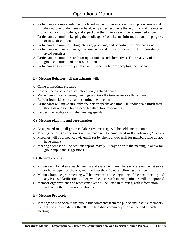- o Participants are representative of a broad range of interests, each having concerns about the outcome of the issues at hand. All parties recognize the legitimacy of the interests and concerns of others, and expect that their interests will be represented as well.
- o Participants commit to keeping their colleagues/constituents informed about the progress of these discussions.
- o Participants commit to stating interests, problems, and opportunities. Not positions.
- o Participants will air problems, disagreements and critical information during meetings to avoid surprises.
- o Participants commit to search for opportunities and alternatives. The creativity of the group can often find the best solution.
- o Participants agree to verify rumors at the meeting before accepting them as fact.

## **B) Meeting Behavior - all participants will:**

- o Come to meetings prepared
- o Respect the basic rules of collaboration (as stated above)
- o Voice their concerns during meetings and take the time to resolve those issues
- o Refrain from side conversations during the meeting
- o Participants will make sure only one person speaks at a time let individuals finish their thoughts and then take a deep breath before responding
- o Respect the facilitator and the meeting agenda

## **C) Meeting planning and coordination**

- o As a general rule, full group collaborative meetings will be held once a month
- $\circ$  Meetings where key decisions will be made will be announced well in advance (2 weeks)
- o Meetings will be announced via email (or by phone and/or mail for members who do not have email)
- $\circ$  Meeting agendas will be sent out approximately 10 days prior to the meeting to allow for group input and suggestions.

## **D) Record keeping**

- o Minutes will be taken at each meeting and shared with members who are on the list serve or have requested them by mail no later than 2 weeks following any meeting.
- o Minutes from the prior meeting will be reviewed at the beginning of the next meeting and any issues (clarifications, other) will be discussed; meeting minutes will be approved.
- O Member organizations and representatives will be listed in minutes, with information indicating their presence or absence.

## **E) Meeting Protocols**

o Meetings will be open to the public but comments from the public and inactive members will only be allowed during the 20 minute public comment period at the end of each meeting.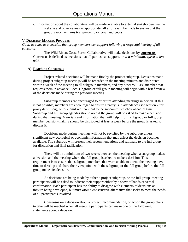o Information about the collaborative will be made available to external stakeholders via the website and other venues as appropriate; all efforts will be made to ensure that the group's work remains transparent to external audiences.

#### **V. DECISION MAKING PROCESS**

*Goal: to come to a decision that group members can support following a respectful hearing of all concerns.* 

The Wild Rivers Coast Forest Collaborative will make decisions by **consensus**. Consensus is defined as decisions that all parties can support, or *at a minimum, agree to live with*.

#### **A) Reaching Consensus**

Project-related decisions will be made first by the project subgroup. Decisions made during project subgroup meetings will be recorded in the meeting minutes and distributed within a week of the meeting to all subgroup members, and any other WRCFC member that requests them in advance. Each subgroup or full group meeting will begin with a brief review of the decisions made during the previous meeting.

Subgroup members are encouraged to prioritize attending meetings in person. If this is not possible, members are encouraged to ensure a proxy is in attendance (see section 2 for proxy definition), or to submit written input to the subcommittee chair ahead of time. Subgroup and full group agendas should note if the group will be asked to make a decision during that meeting. Materials and information that will help inform subgroup or full group member decision-making should be distributed at least a week before the group is asked to discuss it.

Decisions made during meetings will not be revisited by the subgroup unless significant new ecological or economic information that may affect the decision becomes available. The subgroup will present their recommendations and rationale to the full group for discussion and final ratification.

There will be a minimum of two weeks between the meeting when a subgroup makes a decision and the meeting where the full group is asked to make a decision. This requirement is to ensure that subgroup members that were unable to attend the meeting have time to develop and share their viewpoints with the subgroup or the full group before the full group makes its decision.

As decisions are being made by either a project subgroup, or the full group, meeting participants will be asked to indicate their support either by a show of hands or verbal confirmation. Each participant has the ability to disagree with elements of decisions as they're being developed, but must offer a constructive alternative that seeks to meet the needs of all participants involved.

Consensus on a decision about a project, recommendation, or action the group plans to take will be reached when all meeting participants can make one of the following statements about a decision: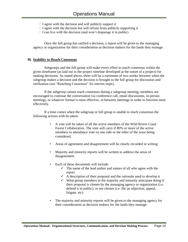- $\Box$  I agree with the decision and will publicly support it
- $\Box$  I agree with the decision but will refrain from publicly supporting it
- $\Box$  I can live with the decision (and won't disparage it in public)

Once the full group has ratified a decision, a report will be given to the managing agency or organization for their consideration as decision makers for the lands they manage.

### **B) Inability to Reach Consensus**

Subgroups and the full group will make every effort to reach consensus within the given timeframe (as laid out in the project timeline developed at the outset of a project) for making decisions. As stated above, there will be a minimum of two weeks between when the subgroup makes a decision and the decision is brought to the full group for discussion and ratification (see "Reaching Consensus" for interim steps).

If the subgroup cannot reach consensus during a subgroup meeting, members are encouraged to continue the conversation via conference call, email discussions, in-person meetings, or whatever format is most effective, in between meetings in order to function most effectively.

If a time comes when the subgroup or full group is unable to reach consensus the following actions with be taken:

- A vote will be taken of all the active members of the Wild Rivers Coast Forest Collaborative. The vote will carry if 80% or more of the active members in attendance vote on one side or the other of the issue being considered.
- Areas of agreement and disagreement will be clearly recorded in writing
- Majority and minority reports will be written to address the areas of disagreement.
- Each of these documents will include:
	- $\checkmark$  The name of the lead author and names of all who agree with the report
	- $\checkmark$  A description of their proposal and the rationale used to develop it
	- $\checkmark$  What group members in the majority and minority anticipate doing if their proposal is chosen by the managing agency or organization (i.e. defend it in public), or not chosen (i.e. file an objection, appeal, litigate, etc)
- The majority and minority reports will be given to the managing agency for their consideration as decision makers for the lands they manage.